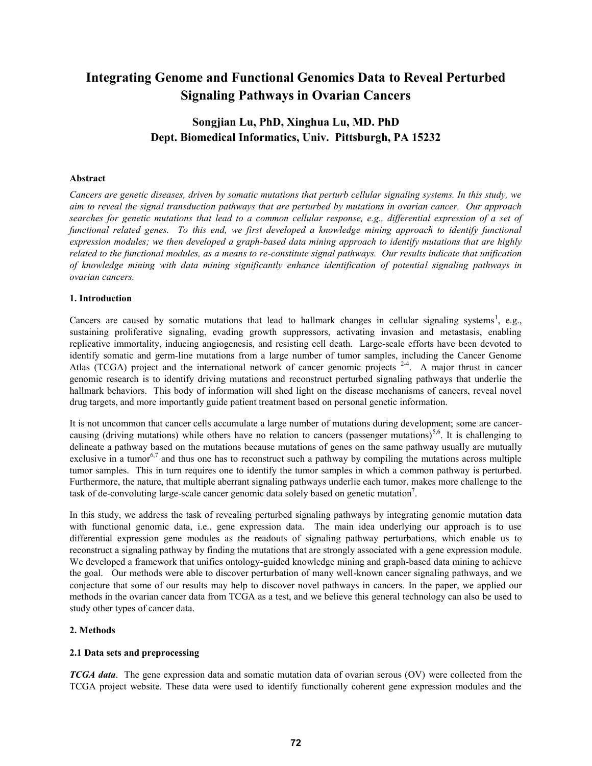# **Integrating Genome and Functional Genomics Data to Reveal Perturbed Signaling Pathways in Ovarian Cancers**

## **Songjian Lu, PhD, Xinghua Lu, MD. PhD Dept. Biomedical Informatics, Univ. Pittsburgh, PA 15232**

## **Abstract**

*Cancers are genetic diseases, driven by somatic mutations that perturb cellular signaling systems. In this study, we aim to reveal the signal transduction pathways that are perturbed by mutations in ovarian cancer. Our approach searches for genetic mutations that lead to a common cellular response, e.g., differential expression of a set of functional related genes. To this end, we first developed a knowledge mining approach to identify functional expression modules; we then developed a graph-based data mining approach to identify mutations that are highly related to the functional modules, as a means to re-constitute signal pathways. Our results indicate that unification of knowledge mining with data mining significantly enhance identification of potential signaling pathways in ovarian cancers.* 

### **1. Introduction**

Cancers are caused by somatic mutations that lead to hallmark changes in cellular signaling systems<sup>1</sup>, e.g., sustaining proliferative signaling, evading growth suppressors, activating invasion and metastasis, enabling replicative immortality, inducing angiogenesis, and resisting cell death. Large-scale efforts have been devoted to identify somatic and germ-line mutations from a large number of tumor samples, including the Cancer Genome Atlas (TCGA) project and the international network of cancer genomic projects  $2-4$ . A major thrust in cancer genomic research is to identify driving mutations and reconstruct perturbed signaling pathways that underlie the hallmark behaviors. This body of information will shed light on the disease mechanisms of cancers, reveal novel drug targets, and more importantly guide patient treatment based on personal genetic information.

It is not uncommon that cancer cells accumulate a large number of mutations during development; some are cancercausing (driving mutations) while others have no relation to cancers (passenger mutations)<sup>5,6</sup>. It is challenging to delineate a pathway based on the mutations because mutations of genes on the same pathway usually are mutually exclusive in a tumor<sup>6,7</sup> and thus one has to reconstruct such a pathway by compiling the mutations across multiple tumor samples. This in turn requires one to identify the tumor samples in which a common pathway is perturbed. Furthermore, the nature, that multiple aberrant signaling pathways underlie each tumor, makes more challenge to the task of de-convoluting large-scale cancer genomic data solely based on genetic mutation<sup>7</sup>.

In this study, we address the task of revealing perturbed signaling pathways by integrating genomic mutation data with functional genomic data, i.e., gene expression data. The main idea underlying our approach is to use differential expression gene modules as the readouts of signaling pathway perturbations, which enable us to reconstruct a signaling pathway by finding the mutations that are strongly associated with a gene expression module. We developed a framework that unifies ontology-guided knowledge mining and graph-based data mining to achieve the goal. Our methods were able to discover perturbation of many well-known cancer signaling pathways, and we conjecture that some of our results may help to discover novel pathways in cancers. In the paper, we applied our methods in the ovarian cancer data from TCGA as a test, and we believe this general technology can also be used to study other types of cancer data.

## **2. Methods**

## **2.1 Data sets and preprocessing**

*TCGA data*. The gene expression data and somatic mutation data of ovarian serous (OV) were collected from the TCGA project website. These data were used to identify functionally coherent gene expression modules and the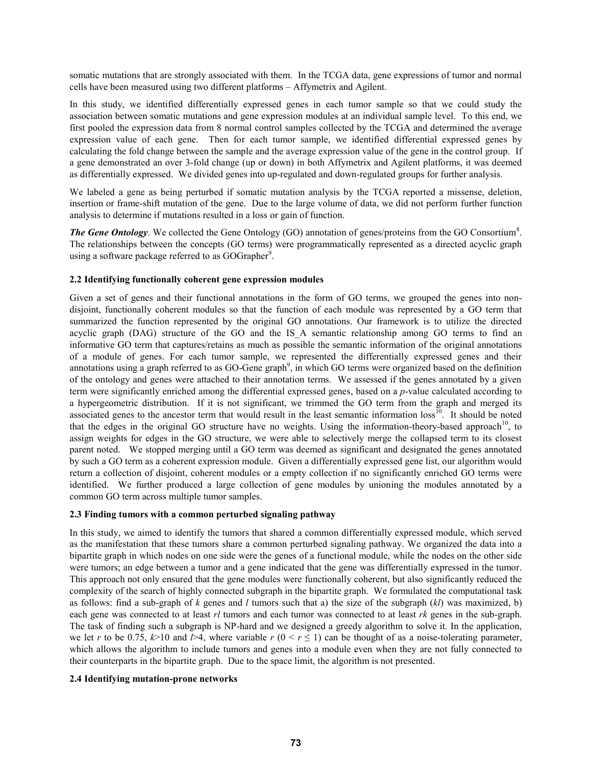somatic mutations that are strongly associated with them. In the TCGA data, gene expressions of tumor and normal cells have been measured using two different platforms – Affymetrix and Agilent.

In this study, we identified differentially expressed genes in each tumor sample so that we could study the association between somatic mutations and gene expression modules at an individual sample level. To this end, we first pooled the expression data from 8 normal control samples collected by the TCGA and determined the average expression value of each gene. Then for each tumor sample, we identified differential expressed genes by calculating the fold change between the sample and the average expression value of the gene in the control group. If a gene demonstrated an over 3-fold change (up or down) in both Affymetrix and Agilent platforms, it was deemed as differentially expressed. We divided genes into up-regulated and down-regulated groups for further analysis.

We labeled a gene as being perturbed if somatic mutation analysis by the TCGA reported a missense, deletion, insertion or frame-shift mutation of the gene. Due to the large volume of data, we did not perform further function analysis to determine if mutations resulted in a loss or gain of function.

**The Gene Ontology**. We collected the Gene Ontology (GO) annotation of genes/proteins from the GO Consortium<sup>8</sup>. The relationships between the concepts (GO terms) were programmatically represented as a directed acyclic graph using a software package referred to as GOGrapher<sup>9</sup>.

### **2.2 Identifying functionally coherent gene expression modules**

Given a set of genes and their functional annotations in the form of GO terms, we grouped the genes into nondisjoint, functionally coherent modules so that the function of each module was represented by a GO term that summarized the function represented by the original GO annotations. Our framework is to utilize the directed acyclic graph (DAG) structure of the GO and the IS A semantic relationship among GO terms to find an informative GO term that captures/retains as much as possible the semantic information of the original annotations of a module of genes. For each tumor sample, we represented the differentially expressed genes and their annotations using a graph referred to as GO-Gene graph<sup>9</sup>, in which GO terms were organized based on the definition of the ontology and genes were attached to their annotation terms. We assessed if the genes annotated by a given term were significantly enriched among the differential expressed genes, based on a *p*-value calculated according to a hypergeometric distribution. If it is not significant, we trimmed the GO term from the graph and merged its associated genes to the ancestor term that would result in the least semantic information  $loss<sup>10</sup>$ . It should be noted that the edges in the original GO structure have no weights. Using the information-theory-based approach<sup>10</sup>, to assign weights for edges in the GO structure, we were able to selectively merge the collapsed term to its closest parent noted. We stopped merging until a GO term was deemed as significant and designated the genes annotated by such a GO term as a coherent expression module. Given a differentially expressed gene list, our algorithm would return a collection of disjoint, coherent modules or a empty collection if no significantly enriched GO terms were identified. We further produced a large collection of gene modules by unioning the modules annotated by a common GO term across multiple tumor samples.

#### **2.3 Finding tumors with a common perturbed signaling pathway**

In this study, we aimed to identify the tumors that shared a common differentially expressed module, which served as the manifestation that these tumors share a common perturbed signaling pathway. We organized the data into a bipartite graph in which nodes on one side were the genes of a functional module, while the nodes on the other side were tumors; an edge between a tumor and a gene indicated that the gene was differentially expressed in the tumor. This approach not only ensured that the gene modules were functionally coherent, but also significantly reduced the complexity of the search of highly connected subgraph in the bipartite graph. We formulated the computational task as follows: find a sub-graph of *k* genes and *l* tumors such that a) the size of the subgraph (*kl*) was maximized, b) each gene was connected to at least *rl* tumors and each tumor was connected to at least *rk* genes in the sub-graph. The task of finding such a subgraph is NP-hard and we designed a greedy algorithm to solve it. In the application, we let *r* to be 0.75,  $k>10$  and  $l>4$ , where variable  $r$  ( $0 < r \le 1$ ) can be thought of as a noise-tolerating parameter, which allows the algorithm to include tumors and genes into a module even when they are not fully connected to their counterparts in the bipartite graph. Due to the space limit, the algorithm is not presented.

#### **2.4 Identifying mutation-prone networks**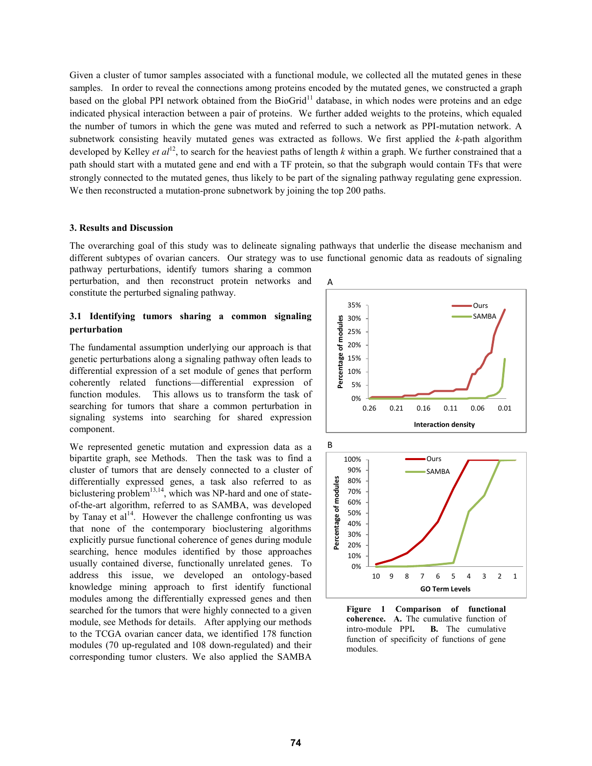Given a cluster of tumor samples associated with a functional module, we collected all the mutated genes in these samples. In order to reveal the connections among proteins encoded by the mutated genes, we constructed a graph based on the global PPI network obtained from the BioGrid<sup>11</sup> database, in which nodes were proteins and an edge indicated physical interaction between a pair of proteins. We further added weights to the proteins, which equaled the number of tumors in which the gene was muted and referred to such a network as PPI-mutation network. A subnetwork consisting heavily mutated genes was extracted as follows. We first applied the *k-*path algorithm developed by Kelley *et al*<sup>12</sup>, to search for the heaviest paths of length *k* within a graph. We further constrained that a path should start with a mutated gene and end with a TF protein, so that the subgraph would contain TFs that were strongly connected to the mutated genes, thus likely to be part of the signaling pathway regulating gene expression. We then reconstructed a mutation-prone subnetwork by joining the top 200 paths.

#### **3. Results and Discussion**

The overarching goal of this study was to delineate signaling pathways that underlie the disease mechanism and different subtypes of ovarian cancers. Our strategy was to use functional genomic data as readouts of signaling pathway perturbations, identify tumors sharing a common

perturbation, and then reconstruct protein networks and constitute the perturbed signaling pathway.

### **3.1 Identifying tumors sharing a common signaling perturbation**

The fundamental assumption underlying our approach is that genetic perturbations along a signaling pathway often leads to differential expression of a set module of genes that perform coherently related functions—differential expression of function modules. This allows us to transform the task of searching for tumors that share a common perturbation in signaling systems into searching for shared expression component.

We represented genetic mutation and expression data as a bipartite graph, see Methods. Then the task was to find a cluster of tumors that are densely connected to a cluster of differentially expressed genes, a task also referred to as biclustering problem<sup>13,14</sup>, which was NP-hard and one of stateof-the-art algorithm, referred to as SAMBA, was developed by Tanay et  $al<sup>14</sup>$ . However the challenge confronting us was that none of the contemporary bioclustering algorithms explicitly pursue functional coherence of genes during module searching, hence modules identified by those approaches usually contained diverse, functionally unrelated genes. To address this issue, we developed an ontology-based knowledge mining approach to first identify functional modules among the differentially expressed genes and then searched for the tumors that were highly connected to a given module, see Methods for details. After applying our methods to the TCGA ovarian cancer data, we identified 178 function modules (70 up-regulated and 108 down-regulated) and their corresponding tumor clusters. We also applied the SAMBA





**Figure 1 Comparison of functional coherence. A.** The cumulative function of intro-module PPI**. B.** The cumulative function of specificity of functions of gene modules.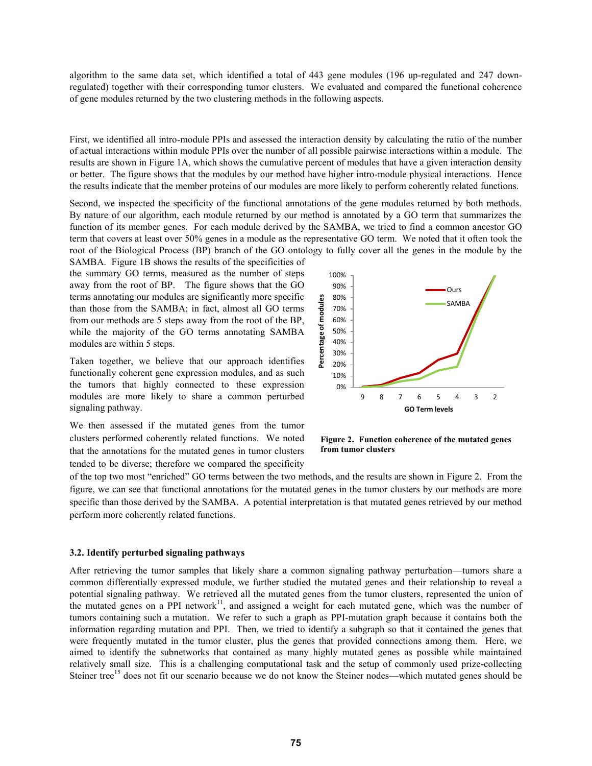algorithm to the same data set, which identified a total of 443 gene modules (196 up-regulated and 247 downregulated) together with their corresponding tumor clusters. We evaluated and compared the functional coherence of gene modules returned by the two clustering methods in the following aspects.

First, we identified all intro-module PPIs and assessed the interaction density by calculating the ratio of the number of actual interactions within module PPIs over the number of all possible pairwise interactions within a module. The results are shown in Figure 1A, which shows the cumulative percent of modules that have a given interaction density or better. The figure shows that the modules by our method have higher intro-module physical interactions. Hence the results indicate that the member proteins of our modules are more likely to perform coherently related functions.

Second, we inspected the specificity of the functional annotations of the gene modules returned by both methods. By nature of our algorithm, each module returned by our method is annotated by a GO term that summarizes the function of its member genes. For each module derived by the SAMBA, we tried to find a common ancestor GO term that covers at least over 50% genes in a module as the representative GO term. We noted that it often took the root of the Biological Process (BP) branch of the GO ontology to fully cover all the genes in the module by the

SAMBA. Figure 1B shows the results of the specificities of the summary GO terms, measured as the number of steps away from the root of BP. The figure shows that the GO terms annotating our modules are significantly more specific than those from the SAMBA; in fact, almost all GO terms from our methods are 5 steps away from the root of the BP, while the majority of the GO terms annotating SAMBA modules are within 5 steps.

Taken together, we believe that our approach identifies functionally coherent gene expression modules, and as such the tumors that highly connected to these expression modules are more likely to share a common perturbed signaling pathway.

We then assessed if the mutated genes from the tumor clusters performed coherently related functions. We noted that the annotations for the mutated genes in tumor clusters tended to be diverse; therefore we compared the specificity



**Figure 2. Function coherence of the mutated genes from tumor clusters**

of the top two most "enriched" GO terms between the two methods, and the results are shown in Figure 2. From the figure, we can see that functional annotations for the mutated genes in the tumor clusters by our methods are more specific than those derived by the SAMBA. A potential interpretation is that mutated genes retrieved by our method perform more coherently related functions.

#### **3.2. Identify perturbed signaling pathways**

After retrieving the tumor samples that likely share a common signaling pathway perturbation—tumors share a common differentially expressed module, we further studied the mutated genes and their relationship to reveal a potential signaling pathway. We retrieved all the mutated genes from the tumor clusters, represented the union of the mutated genes on a PPI network $1$ , and assigned a weight for each mutated gene, which was the number of tumors containing such a mutation. We refer to such a graph as PPI-mutation graph because it contains both the information regarding mutation and PPI. Then, we tried to identify a subgraph so that it contained the genes that were frequently mutated in the tumor cluster, plus the genes that provided connections among them. Here, we aimed to identify the subnetworks that contained as many highly mutated genes as possible while maintained relatively small size. This is a challenging computational task and the setup of commonly used prize-collecting Steiner tree<sup>15</sup> does not fit our scenario because we do not know the Steiner nodes—which mutated genes should be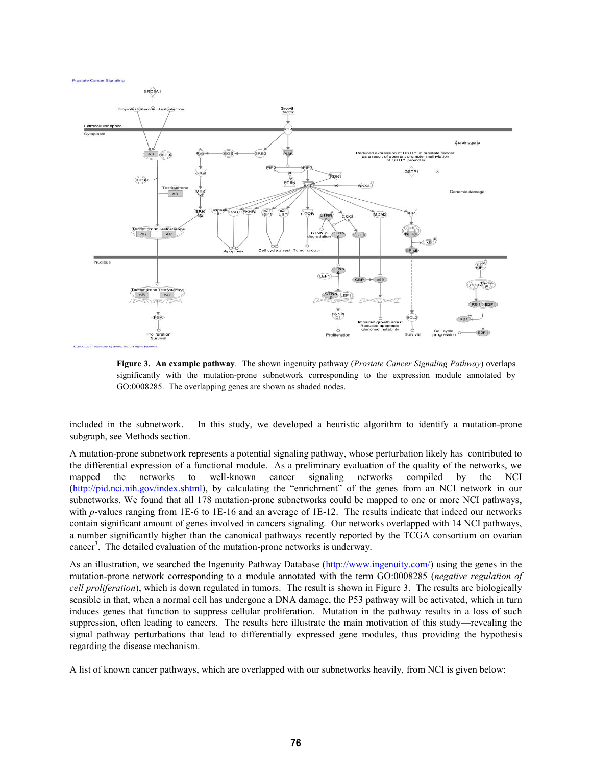**Prostate Cancer Signaling** 



**Figure 3. An example pathway**. The shown ingenuity pathway (*Prostate Cancer Signaling Pathway*) overlaps significantly with the mutation-prone subnetwork corresponding to the expression module annotated by GO:0008285. The overlapping genes are shown as shaded nodes.

included in the subnetwork. In this study, we developed a heuristic algorithm to identify a mutation-prone subgraph, see Methods section.

A mutation-prone subnetwork represents a potential signaling pathway, whose perturbation likely has contributed to the differential expression of a functional module. As a preliminary evaluation of the quality of the networks, we mapped the networks to well-known cancer signaling networks compiled by the NCI (http://pid.nci.nih.gov/index.shtml), by calculating the "enrichment" of the genes from an NCI network in our subnetworks. We found that all 178 mutation-prone subnetworks could be mapped to one or more NCI pathways, with *p*-values ranging from 1E-6 to 1E-16 and an average of 1E-12. The results indicate that indeed our networks contain significant amount of genes involved in cancers signaling. Our networks overlapped with 14 NCI pathways, a number significantly higher than the canonical pathways recently reported by the TCGA consortium on ovarian cancer<sup>3</sup>. The detailed evaluation of the mutation-prone networks is underway.

As an illustration, we searched the Ingenuity Pathway Database (http://www.ingenuity.com/) using the genes in the mutation-prone network corresponding to a module annotated with the term GO:0008285 (*negative regulation of cell proliferation*), which is down regulated in tumors. The result is shown in Figure 3. The results are biologically sensible in that, when a normal cell has undergone a DNA damage, the P53 pathway will be activated, which in turn induces genes that function to suppress cellular proliferation. Mutation in the pathway results in a loss of such suppression, often leading to cancers. The results here illustrate the main motivation of this study—revealing the signal pathway perturbations that lead to differentially expressed gene modules, thus providing the hypothesis regarding the disease mechanism.

A list of known cancer pathways, which are overlapped with our subnetworks heavily, from NCI is given below: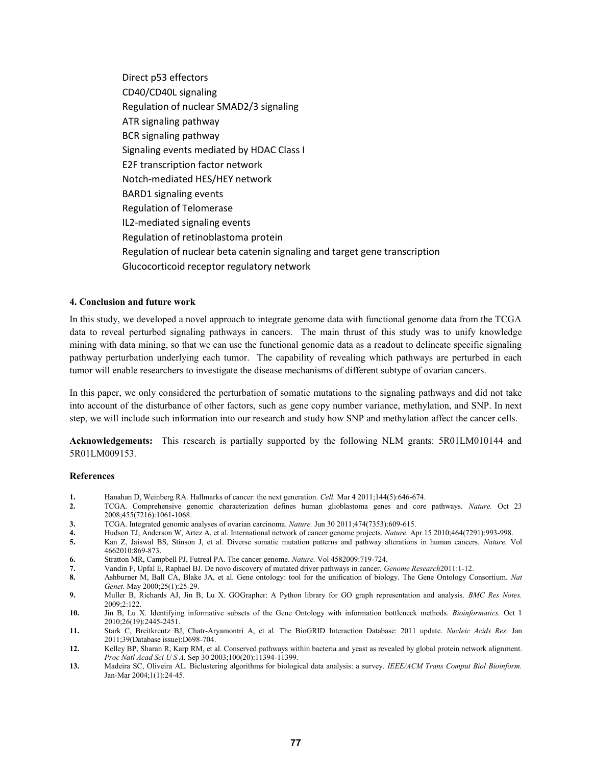Direct p53 effectors CD40/CD40L signaling Regulation of nuclear SMAD2/3 signaling ATR signaling pathway BCR signaling pathway Signaling events mediated by HDAC Class I E2F transcription factor network Notch-mediated HES/HEY network BARD1 signaling events Regulation of Telomerase IL2-mediated signaling events Regulation of retinoblastoma protein Regulation of nuclear beta catenin signaling and target gene transcription Glucocorticoid receptor regulatory network

#### **4. Conclusion and future work**

In this study, we developed a novel approach to integrate genome data with functional genome data from the TCGA data to reveal perturbed signaling pathways in cancers. The main thrust of this study was to unify knowledge mining with data mining, so that we can use the functional genomic data as a readout to delineate specific signaling pathway perturbation underlying each tumor. The capability of revealing which pathways are perturbed in each tumor will enable researchers to investigate the disease mechanisms of different subtype of ovarian cancers.

In this paper, we only considered the perturbation of somatic mutations to the signaling pathways and did not take into account of the disturbance of other factors, such as gene copy number variance, methylation, and SNP. In next step, we will include such information into our research and study how SNP and methylation affect the cancer cells.

**Acknowledgements:** This research is partially supported by the following NLM grants: 5R01LM010144 and 5R01LM009153.

#### **References**

- **1.** Hanahan D, Weinberg RA. Hallmarks of cancer: the next generation. *Cell.* Mar 4 2011;144(5):646-674.<br>**2.** TCGA. Comprehensive genomic characterization defines human glioblastoma genes and core
- **2.** TCGA. Comprehensive genomic characterization defines human glioblastoma genes and core pathways. *Nature.* Oct 23 2008;455(7216):1061-1068.
- **3.** TCGA. Integrated genomic analyses of ovarian carcinoma. *Nature.* Jun 30 2011;474(7353):609-615.
- **4.** Hudson TJ, Anderson W, Artez A, et al. International network of cancer genome projects. *Nature.* Apr 15 2010;464(7291):993-998.
- **5.** Kan Z, Jaiswal BS, Stinson J, et al. Diverse somatic mutation patterns and pathway alterations in human cancers. *Nature.* Vol 4662010:869-873.
- **6.** Stratton MR, Campbell PJ, Futreal PA. The cancer genome. *Nature.* Vol 4582009:719-724.
- **7.** Vandin F, Upfal E, Raphael BJ. De novo discovery of mutated driver pathways in cancer. *Genome Research*2011:1-12.
- **8.** Ashburner M, Ball CA, Blake JA, et al. Gene ontology: tool for the unification of biology. The Gene Ontology Consortium. *Nat Genet.* May 2000;25(1):25-29.
- **9.** Muller B, Richards AJ, Jin B, Lu X. GOGrapher: A Python library for GO graph representation and analysis. *BMC Res Notes.*  2009;2:122.
- **10.** Jin B, Lu X. Identifying informative subsets of the Gene Ontology with information bottleneck methods. *Bioinformatics.* Oct 1 2010;26(19):2445-2451.
- **11.** Stark C, Breitkreutz BJ, Chatr-Aryamontri A, et al. The BioGRID Interaction Database: 2011 update. *Nucleic Acids Res.* Jan 2011;39(Database issue):D698-704.
- **12.** Kelley BP, Sharan R, Karp RM, et al. Conserved pathways within bacteria and yeast as revealed by global protein network alignment. *Proc Natl Acad Sci U S A.* Sep 30 2003;100(20):11394-11399.
- **13.** Madeira SC, Oliveira AL. Biclustering algorithms for biological data analysis: a survey. *IEEE/ACM Trans Comput Biol Bioinform.*  Jan-Mar 2004;1(1):24-45.